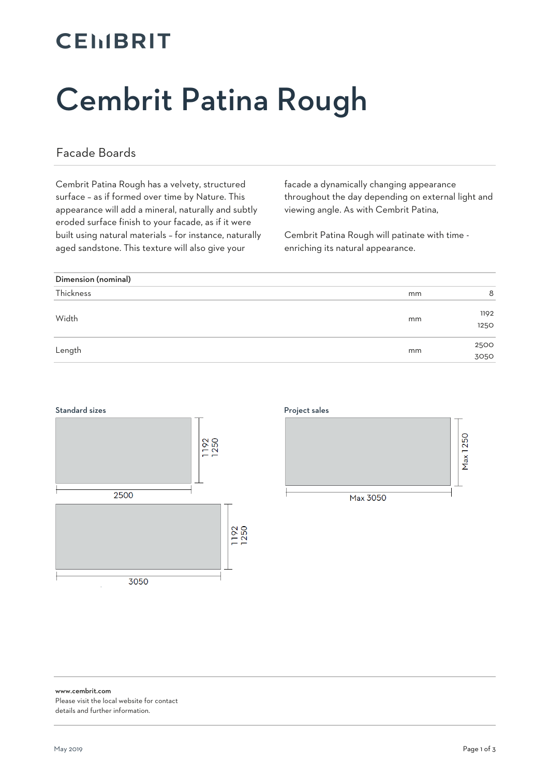# **CEMBRIT**

# Cembrit Patina Rough

#### Facade Boards

Cembrit Patina Rough has a velvety, structured surface – as if formed over time by Nature. This appearance will add a mineral, naturally and subtly eroded surface finish to your facade, as if it were built using natural materials – for instance, naturally aged sandstone. This texture will also give your

facade a dynamically changing appearance throughout the day depending on external light and viewing angle. As with Cembrit Patina,

Cembrit Patina Rough will patinate with time enriching its natural appearance.

| Dimension (nominal) |    |              |
|---------------------|----|--------------|
| Thickness           | mm | 8            |
| Width               | mm | 1192<br>1250 |
| Length              | mm | 2500<br>3050 |





www.cembrit.com Please visit the local website for contact details and further information.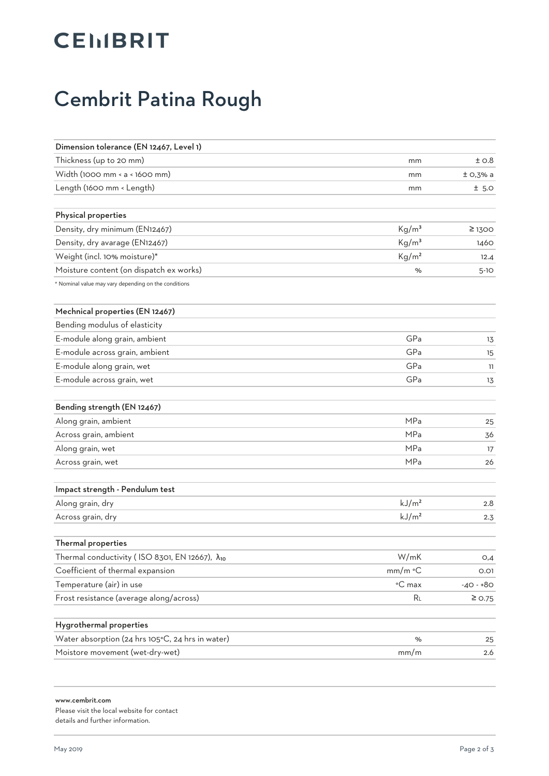# **CEIIBRIT**

#### Cembrit Patina Rough

| Dimension tolerance (EN 12467, Level 1)              |                   |             |
|------------------------------------------------------|-------------------|-------------|
| Thickness (up to 20 mm)                              | mm                | ±0.8        |
| Width (1000 mm < a < 1600 mm)                        | mm                | $±$ O,3% a  |
| Length (1600 mm < Length)                            | mm                | $±$ 5.0     |
| Physical properties                                  |                   |             |
| Density, dry minimum (EN12467)                       | Kg/m <sup>3</sup> | $\geq$ 1300 |
| Density, dry avarage (EN12467)                       | Kg/m <sup>3</sup> | 1460        |
| Weight (incl. 10% moisture)*                         | Kg/m <sup>2</sup> | 12.4        |
| Moisture content (on dispatch ex works)              | %                 | $5 - 10$    |
| * Nominal value may vary depending on the conditions |                   |             |
| Mechnical properties (EN 12467)                      |                   |             |
| Bending modulus of elasticity                        |                   |             |
| E-module along grain, ambient                        | GPa               | 13          |
| E-module across grain, ambient                       | GPa               | 15          |
| E-module along grain, wet                            | GPa               | 11          |
| E-module across grain, wet                           | GPa               | 13          |
| Bending strength (EN 12467)                          |                   |             |
| Along grain, ambient                                 | MPa               | 25          |
| Across grain, ambient                                | MPa               | 36          |
| Along grain, wet                                     | MPa               | 17          |
| Across grain, wet                                    | MPa               | 26          |
| Impact strength - Pendulum test                      |                   |             |
| Along grain, dry                                     | kJ/m <sup>2</sup> | 2.8         |
| Across grain, dry                                    | kJ/m <sup>2</sup> | 2.3         |
| Thermal properties                                   |                   |             |
| Thermal conductivity (ISO 8301, EN 12667), λ10       | W/mK              | O,4         |
| Coefficient of thermal expansion                     | mm/m °C           | 0.01        |
| Temperature (air) in use                             | °C max            | $-40 - +80$ |
| Frost resistance (average along/across)              | RL                | $\geq$ 0.75 |
| Hygrothermal properties                              |                   |             |
| Water absorption (24 hrs 105°C, 24 hrs in water)     | %                 | 25          |
| Moistore movement (wet-dry-wet)                      | mm/m              | 2.6         |
|                                                      |                   |             |

www.cembrit.com Please visit the local website for contact details and further information.